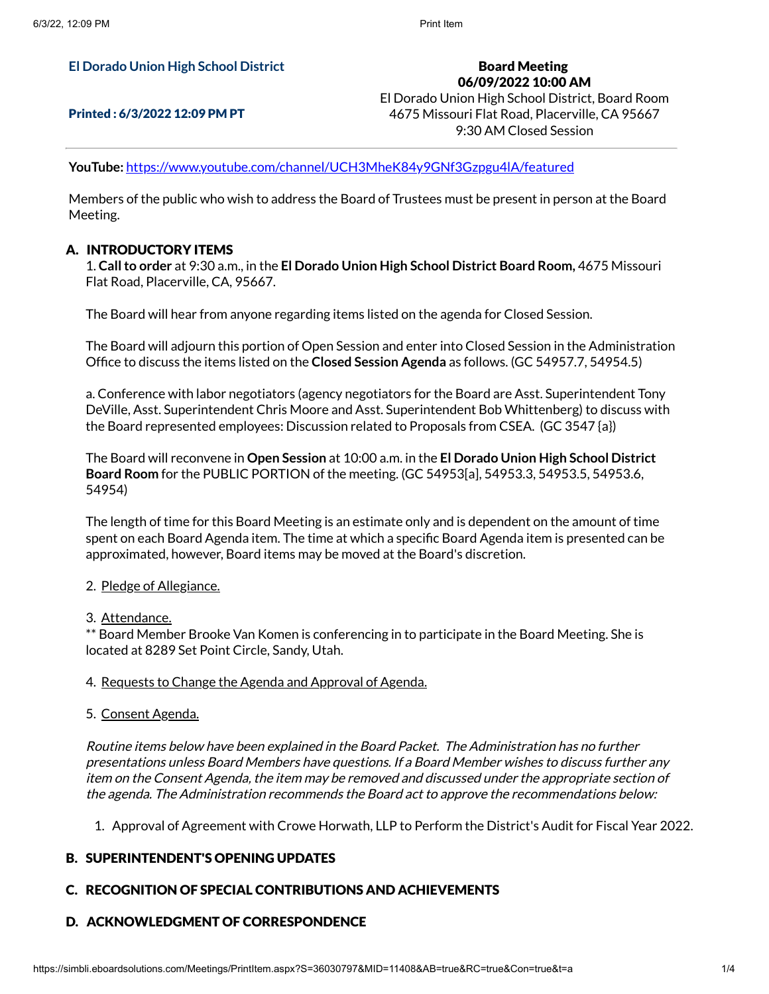#### **El Dorado Union High School District**

### Printed : 6/3/2022 12:09 PM PT

Board Meeting 06/09/2022 10:00 AM El Dorado Union High School District, Board Room 4675 Missouri Flat Road, Placerville, CA 95667 9:30 AM Closed Session

**YouTube:** <https://www.youtube.com/channel/UCH3MheK84y9GNf3Gzpgu4lA/featured>

Members of the public who wish to address the Board of Trustees must be present in person at the Board Meeting.

#### A. INTRODUCTORY ITEMS

1. **Callto order** at 9:30 a.m., in the **El Dorado Union High School District Board Room,** 4675 Missouri Flat Road, Placerville, CA, 95667.

The Board will hear from anyone regarding items listed on the agenda for Closed Session.

The Board will adjourn this portion of Open Session and enter into Closed Session in the Administration Office to discuss the items listed on the **Closed Session Agenda** as follows. (GC 54957.7, 54954.5)

a. Conference with labor negotiators (agency negotiators for the Board are Asst. Superintendent Tony DeVille, Asst. Superintendent Chris Moore and Asst. Superintendent Bob Whittenberg) to discuss with the Board represented employees: Discussion related to Proposals from CSEA. (GC 3547 {a})

The Board will reconvene in **Open Session** at 10:00 a.m. in the **El Dorado Union High School District Board Room** for the PUBLIC PORTION of the meeting. (GC 54953[a], 54953.3, 54953.5, 54953.6, 54954)

The length of time for this Board Meeting is an estimate only and is dependent on the amount of time spent on each Board Agenda item. The time at which a specific Board Agenda item is presented can be approximated, however, Board items may be moved at the Board's discretion.

- 2. Pledge of Allegiance.
- 3. Attendance.

\*\* Board Member Brooke Van Komen is conferencing in to participate in the Board Meeting. She is located at 8289 Set Point Circle, Sandy, Utah.

#### 4. Requests to Change the Agenda and Approval of Agenda.

5. Consent Agenda.

Routine items below have been explained in the Board Packet. The Administration has no further presentations unless Board Members have questions. If <sup>a</sup> Board Member wishes to discuss further any item on the Consent Agenda, the item may be removed and discussed under the appropriate section of the agenda. The Administration recommends the Board act to approve the recommendations below:

1. Approval of Agreement with Crowe Horwath, LLP to Perform the District's Audit for Fiscal Year 2022.

#### B. SUPERINTENDENT'S OPENING UPDATES

## C. RECOGNITION OF SPECIAL CONTRIBUTIONS AND ACHIEVEMENTS

#### D. ACKNOWLEDGMENT OF CORRESPONDENCE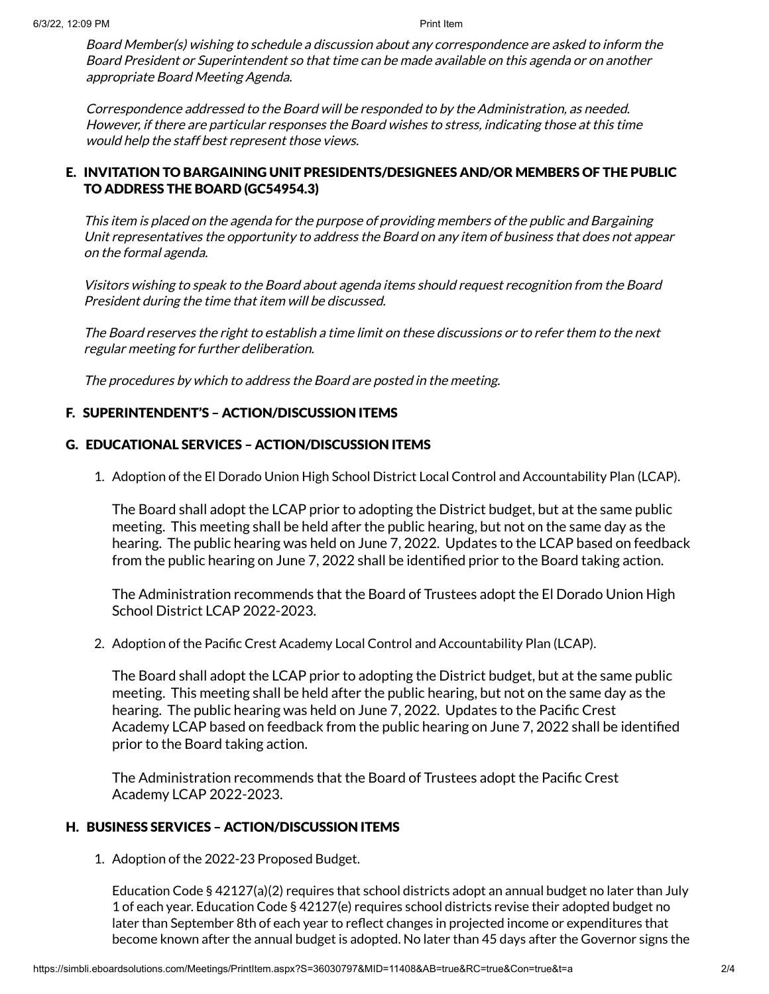Board Member(s) wishing to schedule <sup>a</sup> discussion about any correspondence are asked to inform the Board President or Superintendent so that time can be made available on this agenda or on another appropriate Board Meeting Agenda.

Correspondence addressed to the Board will be responded to by the Administration, as needed. However, if there are particular responses the Board wishes to stress, indicating those at this time would help the staff best represent those views.

## E. INVITATION TO BARGAINING UNIT PRESIDENTS/DESIGNEES AND/OR MEMBERS OF THE PUBLIC TO ADDRESS THE BOARD (GC54954.3)

This item is placed on the agenda for the purpose of providing members of the public and Bargaining Unit representatives the opportunity to address the Board on any item of business that does not appear on the formal agenda.

Visitors wishing to speak to the Board about agenda items should request recognition from the Board President during the time that item will be discussed.

The Board reserves the right to establish <sup>a</sup> time limit on these discussions or to refer them to the next regular meeting for further deliberation.

The procedures by which to address the Board are posted in the meeting.

## F. SUPERINTENDENT'S – ACTION/DISCUSSION ITEMS

## G. EDUCATIONAL SERVICES – ACTION/DISCUSSION ITEMS

1. Adoption of the El Dorado Union High School District Local Control and Accountability Plan (LCAP).

The Board shall adopt the LCAP prior to adopting the District budget, but at the same public meeting. This meeting shall be held after the public hearing, but not on the same day as the hearing. The public hearing was held on June 7, 2022. Updates to the LCAP based on feedback from the public hearing on June 7, 2022 shall be identified prior to the Board taking action.

The Administration recommends that the Board of Trustees adopt the El Dorado Union High School District LCAP 2022-2023.

2. Adoption of the Pacific Crest Academy Local Control and Accountability Plan (LCAP).

The Board shall adopt the LCAP prior to adopting the District budget, but at the same public meeting. This meeting shall be held after the public hearing, but not on the same day as the hearing. The public hearing was held on June 7, 2022. Updates to the Pacific Crest Academy LCAP based on feedback from the public hearing on June 7, 2022 shall be identified prior to the Board taking action.

The Administration recommends that the Board of Trustees adopt the Pacific Crest Academy LCAP 2022-2023.

# H. BUSINESS SERVICES – ACTION/DISCUSSION ITEMS

1. Adoption of the 2022-23 Proposed Budget.

Education Code § 42127(a)(2) requires that school districts adopt an annual budget no later than July 1 of each year. Education Code § 42127(e) requires school districts revise their adopted budget no later than September 8th of each year to reflect changes in projected income or expenditures that become known after the annual budget is adopted. No later than 45 days after the Governor signs the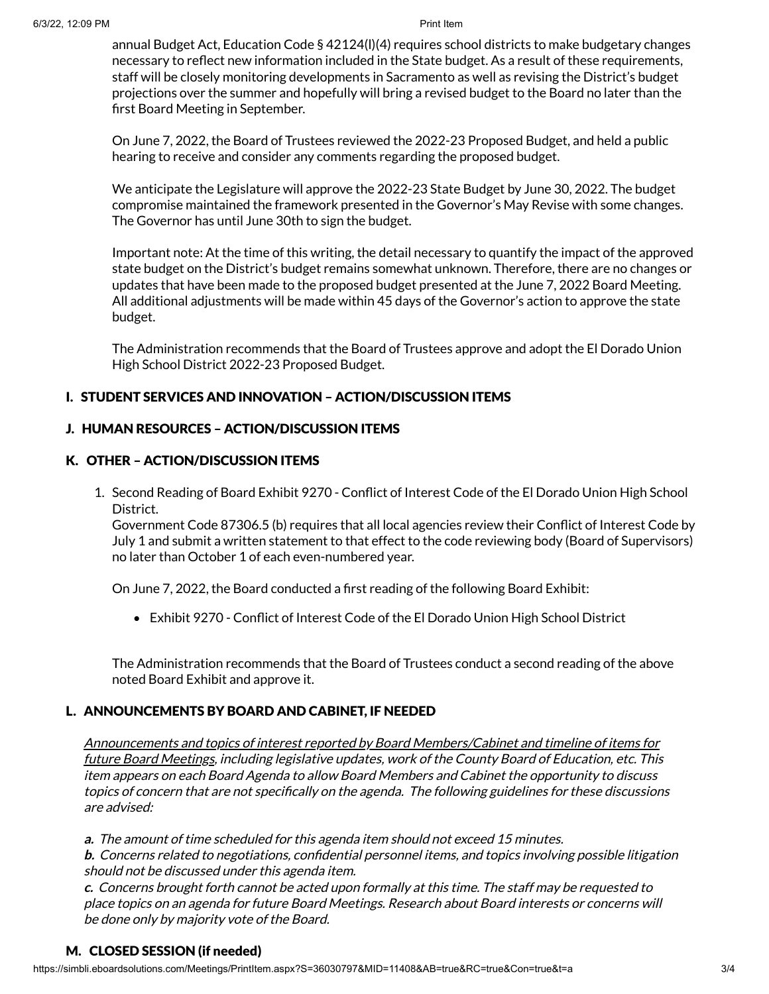annual Budget Act, Education Code § 42124(l)(4) requires school districts to make budgetary changes necessary to reflect new information included in the State budget. As a result of these requirements, staff will be closely monitoring developments in Sacramento as well as revising the District's budget projections over the summer and hopefully will bring a revised budget to the Board no later than the first Board Meeting in September.

On June 7, 2022, the Board of Trustees reviewed the 2022-23 Proposed Budget, and held a public hearing to receive and consider any comments regarding the proposed budget.

We anticipate the Legislature will approve the 2022-23 State Budget by June 30, 2022. The budget compromise maintained the framework presented in the Governor's May Revise with some changes. The Governor has until June 30th to sign the budget.

Important note: At the time of this writing, the detail necessary to quantify the impact of the approved state budget on the District's budget remains somewhat unknown. Therefore, there are no changes or updates that have been made to the proposed budget presented at the June 7, 2022 Board Meeting. All additional adjustments will be made within 45 days of the Governor's action to approve the state budget.

The Administration recommends that the Board of Trustees approve and adopt the El Dorado Union High School District 2022-23 Proposed Budget.

# I. STUDENT SERVICES AND INNOVATION – ACTION/DISCUSSION ITEMS

# J. HUMAN RESOURCES – ACTION/DISCUSSION ITEMS

# K. OTHER – ACTION/DISCUSSION ITEMS

1. Second Reading of Board Exhibit 9270 - Conflict of Interest Code of the El Dorado Union High School District.

Government Code 87306.5 (b) requires that all local agencies review their Conflict of Interest Code by July 1 and submit a written statement to that effect to the code reviewing body (Board of Supervisors) no later than October 1 of each even-numbered year.

On June 7, 2022, the Board conducted a first reading of the following Board Exhibit:

Exhibit 9270 - Conflict of Interest Code of the El Dorado Union High School District

The Administration recommends that the Board of Trustees conduct a second reading of the above noted Board Exhibit and approve it.

# L. ANNOUNCEMENTS BY BOARD AND CABINET, IF NEEDED

Announcements and topics of interest reported by Board Members/Cabinet and timeline of items for future Board Meetings, including legislative updates, work of the County Board of Education, etc. This item appears on each Board Agenda to allow Board Members and Cabinet the opportunity to discuss topics of concern that are not specifically on the agenda. The following guidelines for these discussions are advised:

**a.** The amount of time scheduled for this agenda item should not exceed 15 minutes.

**b.** Concerns related to negotiations, confidential personnel items, and topics involving possible litigation should not be discussed under this agenda item.

**c.** Concerns brought forth cannot be acted upon formally at this time. The staff may be requested to place topics on an agenda for future Board Meetings. Research about Board interests or concerns will be done only by majority vote of the Board.

## M. CLOSED SESSION (if needed)